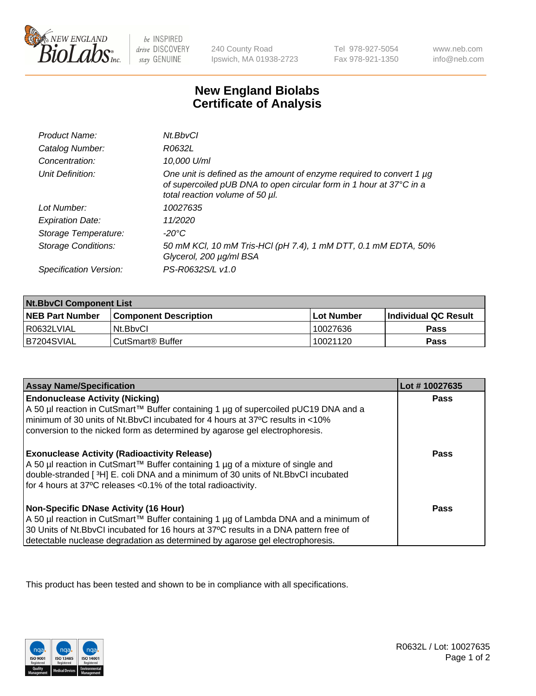

be INSPIRED drive DISCOVERY stay GENUINE

240 County Road Ipswich, MA 01938-2723

Tel 978-927-5054 Fax 978-921-1350

www.neb.com info@neb.com

## **New England Biolabs Certificate of Analysis**

| Product Name:              | Nt.BbvCl                                                                                                                                                                       |
|----------------------------|--------------------------------------------------------------------------------------------------------------------------------------------------------------------------------|
| Catalog Number:            | R0632L                                                                                                                                                                         |
| Concentration:             | 10,000 U/ml                                                                                                                                                                    |
| Unit Definition:           | One unit is defined as the amount of enzyme required to convert 1 µg<br>of supercoiled pUB DNA to open circular form in 1 hour at 37°C in a<br>total reaction volume of 50 µl. |
| Lot Number:                | 10027635                                                                                                                                                                       |
| <b>Expiration Date:</b>    | 11/2020                                                                                                                                                                        |
| Storage Temperature:       | -20°C                                                                                                                                                                          |
| <b>Storage Conditions:</b> | 50 mM KCl, 10 mM Tris-HCl (pH 7.4), 1 mM DTT, 0.1 mM EDTA, 50%<br>Glycerol, 200 µg/ml BSA                                                                                      |
| Specification Version:     | PS-R0632S/L v1.0                                                                                                                                                               |

| <b>Nt.BbvCl Component List</b> |                              |            |                             |  |
|--------------------------------|------------------------------|------------|-----------------------------|--|
| <b>NEB Part Number</b>         | <b>Component Description</b> | Lot Number | <b>Individual QC Result</b> |  |
| I R0632LVIAL                   | Nt.BbvCl                     | 10027636   | Pass                        |  |
| IB7204SVIAL                    | CutSmart® Buffer             | 10021120   | <b>Pass</b>                 |  |

| <b>Assay Name/Specification</b>                                                                                                                                                                                                                                                                                | Lot #10027635 |
|----------------------------------------------------------------------------------------------------------------------------------------------------------------------------------------------------------------------------------------------------------------------------------------------------------------|---------------|
| <b>Endonuclease Activity (Nicking)</b><br>  A 50 µl reaction in CutSmart™ Buffer containing 1 µg of supercoiled pUC19 DNA and a<br>minimum of 30 units of Nt.BbvCI incubated for 4 hours at 37°C results in <10%<br>conversion to the nicked form as determined by agarose gel electrophoresis.                | <b>Pass</b>   |
| <b>Exonuclease Activity (Radioactivity Release)</b><br>  A 50 µl reaction in CutSmart™ Buffer containing 1 µg of a mixture of single and<br>double-stranded [3H] E. coli DNA and a minimum of 30 units of Nt.BbvCl incubated<br>for 4 hours at 37°C releases <0.1% of the total radioactivity.                 | <b>Pass</b>   |
| <b>Non-Specific DNase Activity (16 Hour)</b><br>  A 50 µl reaction in CutSmart™ Buffer containing 1 µg of Lambda DNA and a minimum of<br>30 Units of Nt.BbvCl incubated for 16 hours at 37°C results in a DNA pattern free of<br>detectable nuclease degradation as determined by agarose gel electrophoresis. | <b>Pass</b>   |

This product has been tested and shown to be in compliance with all specifications.